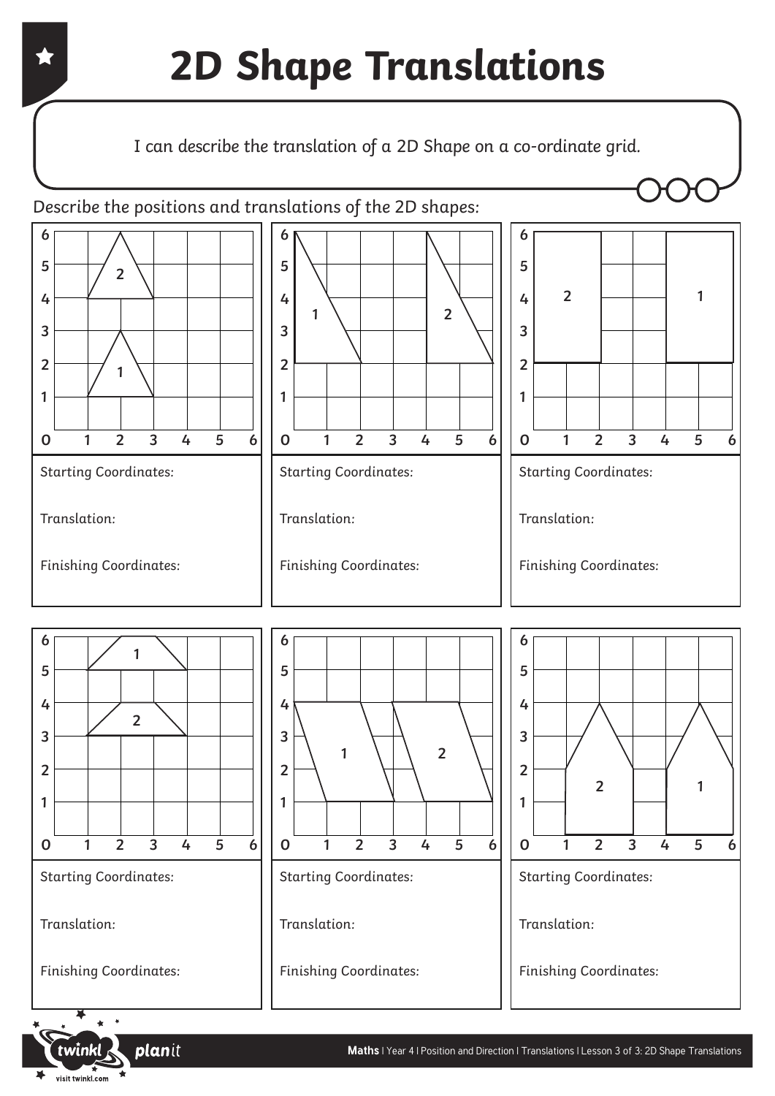#### Describe the positions and translations of the 2D shapes:







planit

Finishing Coordinates:

visit twinkl.com

 **1 2 3 4 5 6 2**

Starting Coordinates:

Translation:

Finishing Coordinates:



Translation:

Finishing Coordinates: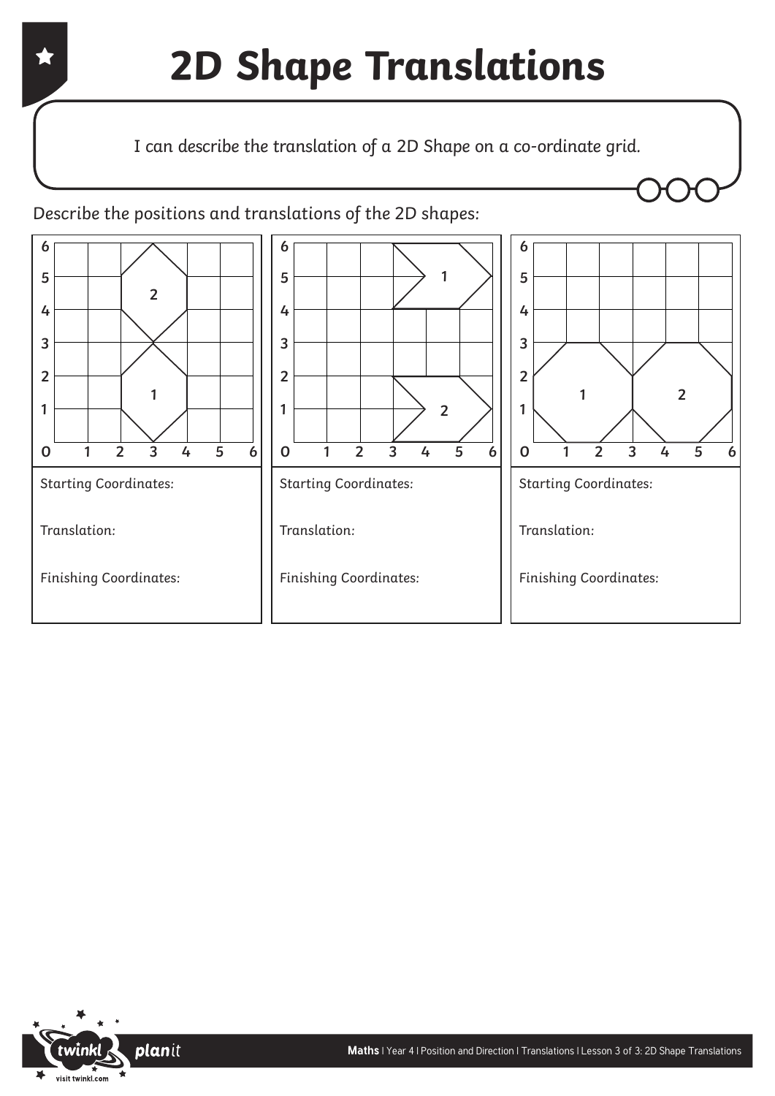

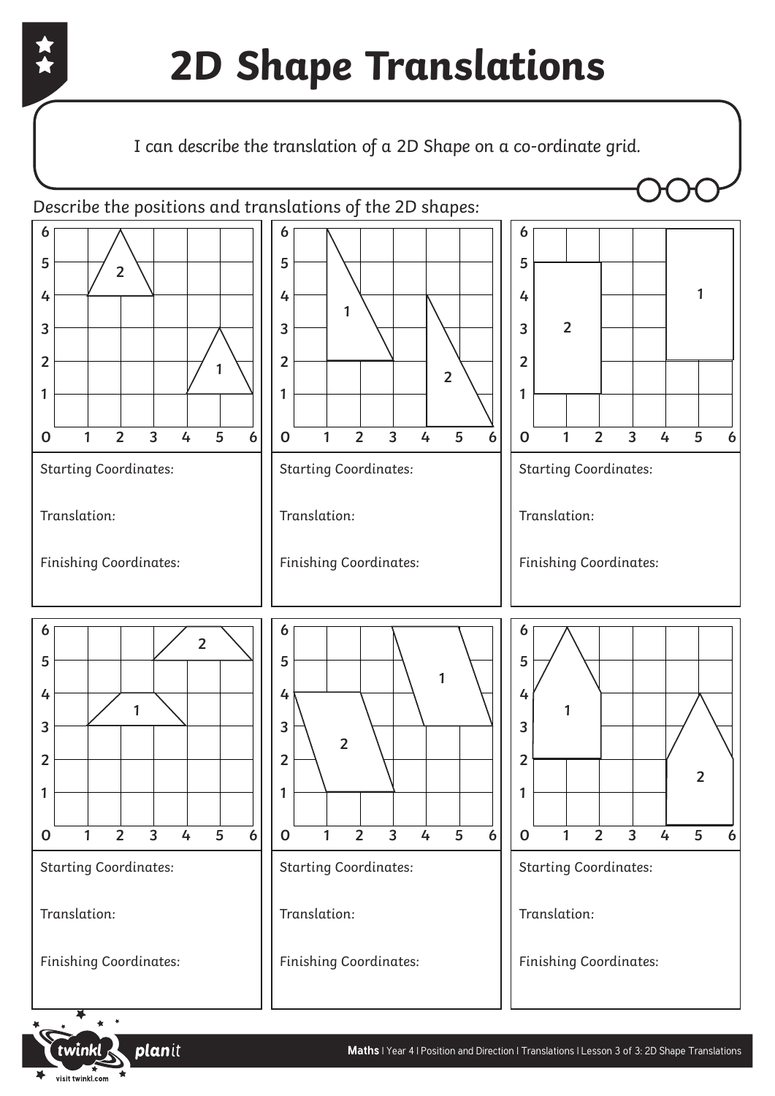

Translation:

Finishing Coordinates:

Translation:

visit twinkl.com

Finishing Coordinates:

planit

Finishing Coordinates:

Translation: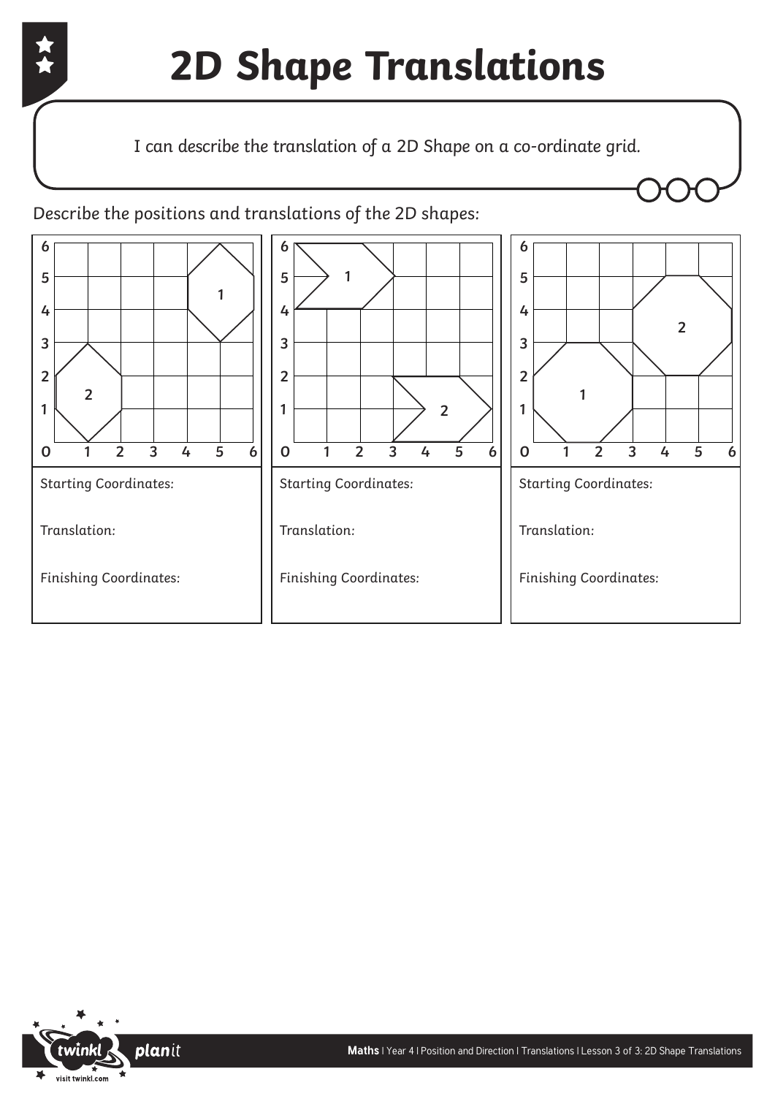

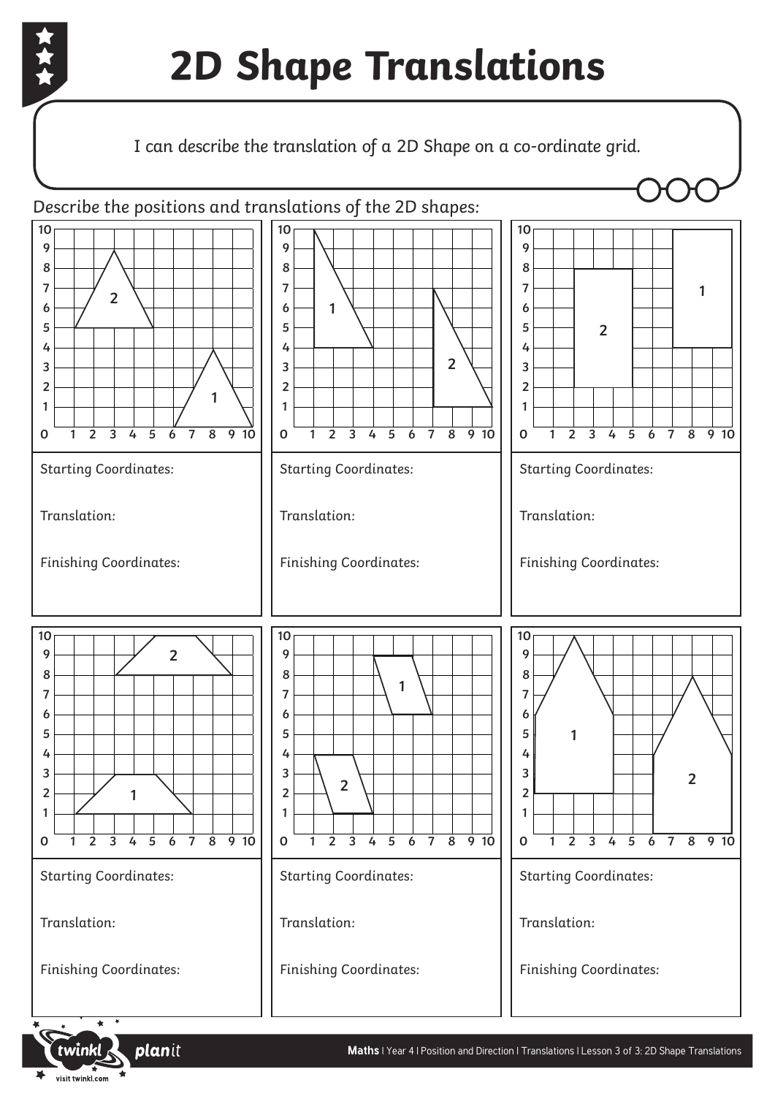

visit twinkl.com

## **2D Shape Translations**

### I can describe the translation of a 2D Shape on a co-ordinate grid.

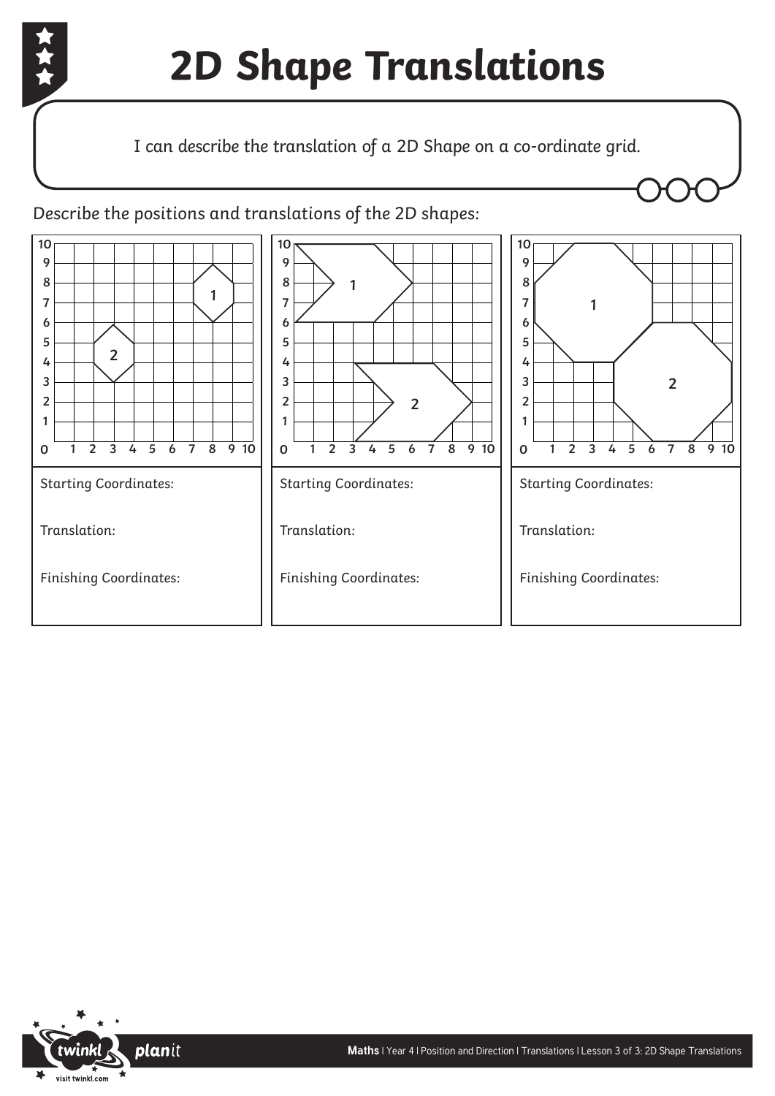

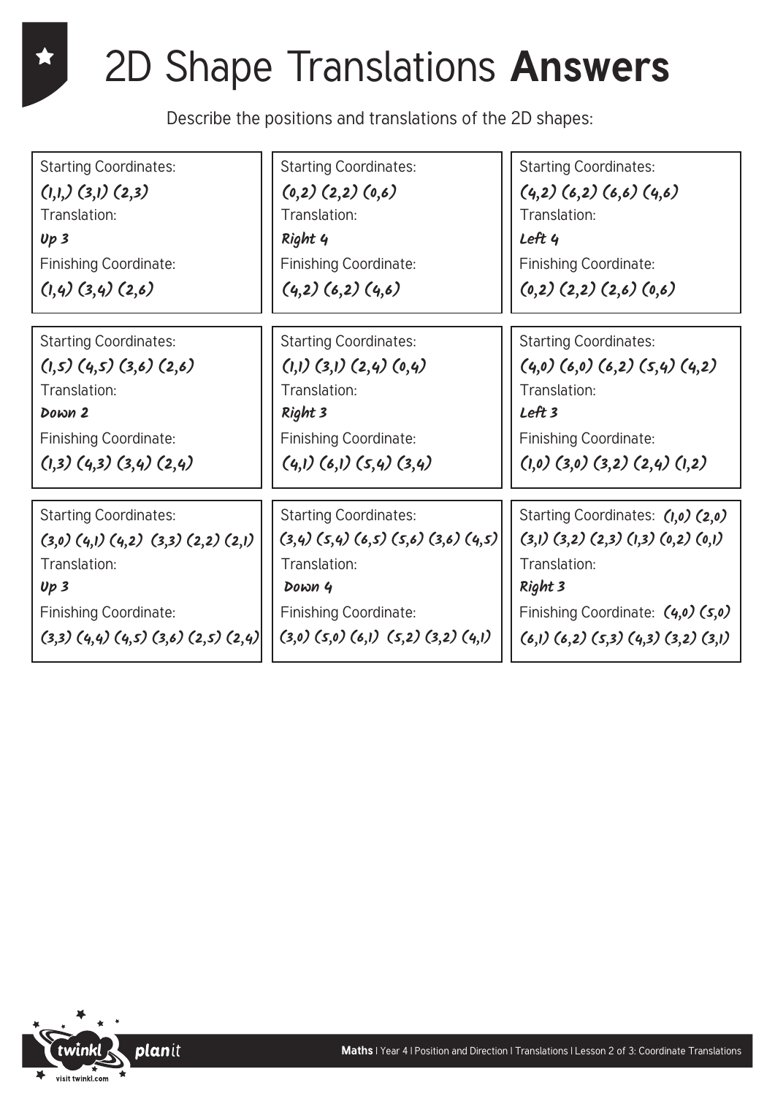## 2D Shape Translations **Answers**

Describe the positions and translations of the 2D shapes:

Starting Coordinates: Translation: Finishing Coordinate: **(1,1,) (3,1) (2,3) Up 3 (1,4) (3,4) (2,6)**

Starting Coordinates: Translation: Finishing Coordinate: **(1,5) (4,5) (3,6) (2,6) Down 2**

Starting Coordinates: Translation: Finishing Coordinate: **(3,3) (4,4) (4,5) (3,6) (2,5) (2,4) (3,0) (5,0) (6,1) (5,2) (3,2) (4,1) Up 3 Down 4**

Starting Coordinates: Translation: Finishing Coordinate: **Right 4 Left 4**

Starting Coordinates: Translation: Finishing Coordinate: **Right 3 Left 3**

Starting Coordinates: Translation: Finishing Coordinate: **(3,0) (4,1) (4,2) (3,3) (2,2) (2,1) (3,4) (5,4) (6,5) (5,6) (3,6) (4,5) (3,1) (3,2) (2,3) (1,3) (0,2) (0,1)**

Starting Coordinates: Translation: Finishing Coordinate:  $(0,2)$   $(2,2)$   $(0,6)$   $(4,2)$   $(6,2)$   $(6,6)$   $(4,6)$ **(4,2) (6,2) (4,6) (0,2) (2,2) (2,6) (0,6)**

Starting Coordinates: Translation: Finishing Coordinate:  $(1,1)$   $(3,1)$   $(2,4)$   $(0,4)$   $(4,0)$   $(6,0)$   $(6,2)$   $(5,4)$   $(4,2)$ **(1,3) (4,3) (3,4) (2,4) (4,1) (6,1) (5,4) (3,4) (1,0) (3,0) (3,2) (2,4) (1,2)**

> Starting Coordinates: **(1,0) (2,0)**  Translation: Finishing Coordinate: **(4,0) (5,0) (6,1) (6,2) (5,3) (4,3) (3,2) (3,1) Right 3**

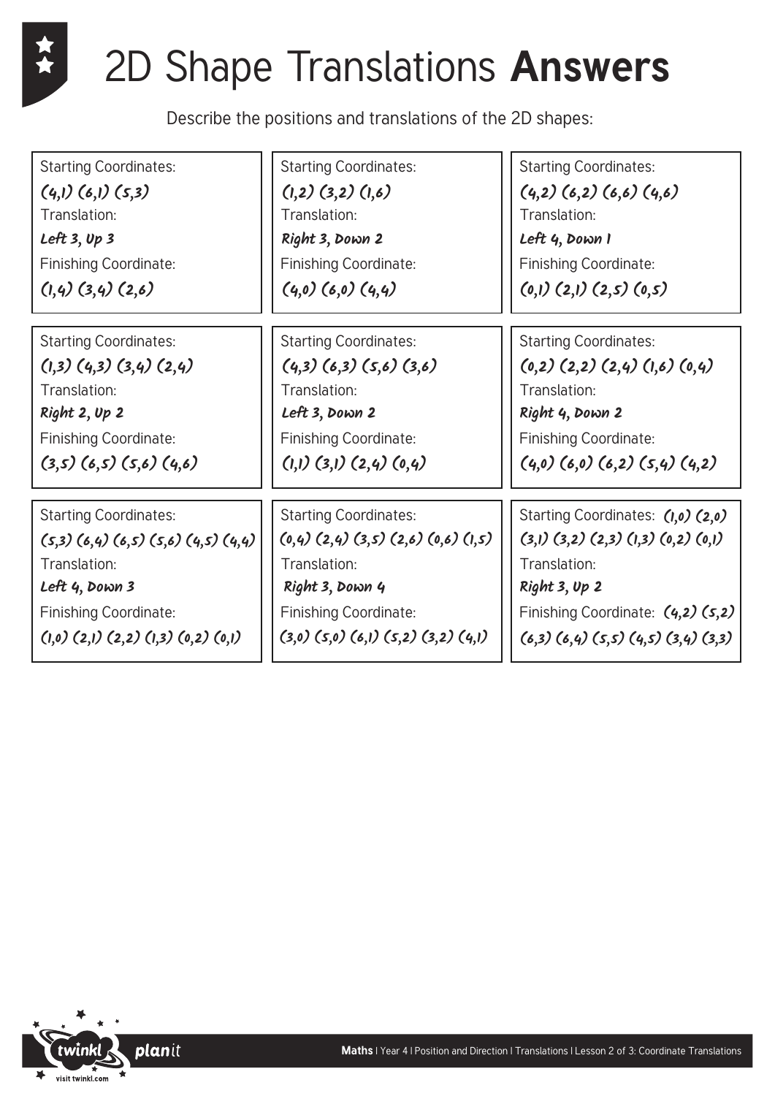### 2D Shape Translations **Answers**

Describe the positions and translations of the 2D shapes:

Starting Coordinates: Translation: Finishing Coordinate: **(4,1) (6,1) (5,3) Left 3, Up 3 (1,4) (3,4) (2,6)**

Starting Coordinates: Translation: Finishing Coordinate: **(1,3) (4,3) (3,4) (2,4) Right 2, Up 2**

Starting Coordinates: Translation: Finishing Coordinate: **(5,3) (6,4) (6,5) (5,6) (4,5) (4,4) (0,4) (2,4) (3,5) (2,6) (0,6) (1,5) (3,1) (3,2) (2,3) (1,3) (0,2) (0,1) (1,0) (2,1) (2,2) (1,3) (0,2) (0,1) (3,0) (5,0) (6,1) (5,2) (3,2) (4,1) Left 4, Down 3 Right 3, Down 4**

Starting Coordinates: Translation: Finishing Coordinate: **Right 3, Down 2 Left 4, Down 1**

Starting Coordinates: Translation: Finishing Coordinate: **Left 3, Down 2 Right 4, Down 2**

Starting Coordinates: Translation: Finishing Coordinate:

Starting Coordinates: Translation: Finishing Coordinate:  $(1,2)$   $(3,2)$   $(1,6)$   $(4,2)$   $(6,2)$   $(6,6)$   $(4,6)$ **(4,0) (6,0) (4,4) (0,1) (2,1) (2,5) (0,5)**

Starting Coordinates: Translation: Finishing Coordinate:  $(4,3)$   $(6,3)$   $(5,6)$   $(3,6)$   $(6,2)$   $(2,2)$   $(2,4)$   $(1,6)$   $(0,4)$ **(3,5) (6,5) (5,6) (4,6) (1,1) (3,1) (2,4) (0,4) (4,0) (6,0) (6,2) (5,4) (4,2)**

> Starting Coordinates: **(1,0) (2,0)**  Translation: Finishing Coordinate: **(4,2) (5,2) (6,3) (6,4) (5,5) (4,5) (3,4) (3,3) Right 3, Up 2**